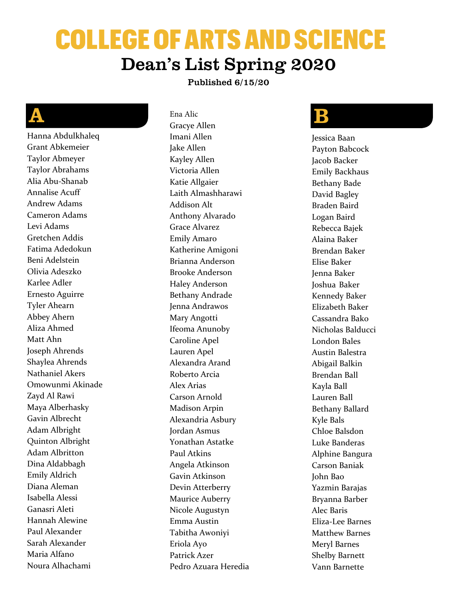# COLLEGE OF ARTS AND SCIENCE Dean's List Spring 2020

#### Published 6/15/20

#### A

Hanna Abdulkhaleq Grant Abkemeier Taylor Abmeyer Taylor Abrahams Alia Abu-Shanab Annalise Acuff Andrew Adams Cameron Adams Levi Adams Gretchen Addis Fatima Adedokun Beni Adelstein Olivia Adeszko Karlee Adler Ernesto Aguirre Tyler Ahearn Abbey Ahern Aliza Ahmed Matt Ahn Joseph Ahrends Shaylea Ahrends Nathaniel Akers Omowunmi Akinade Zayd Al Rawi Maya Alberhasky Gavin Albrecht Adam Albright Quinton Albright Adam Albritton Dina Aldabbagh Emily Aldrich Diana Aleman Isabella Alessi Ganasri Aleti Hannah Alewine Paul Alexander Sarah Alexander Maria Alfano Noura Alhachami

Ena Alic Gracye Allen Imani Allen Jake Allen Kayley Allen Victoria Allen Katie Allgaier Laith Almashharawi Addison Alt Anthony Alvarado Grace Alvarez Emily Amaro Katherine Amigoni Brianna Anderson Brooke Anderson Haley Anderson Bethany Andrade Jenna Andrawos Mary Angotti Ifeoma Anunoby Caroline Apel Lauren Apel Alexandra Arand Roberto Arcia Alex Arias Carson Arnold Madison Arpin Alexandria Asbury Jordan Asmus Yonathan Astatke Paul Atkins Angela Atkinson Gavin Atkinson Devin Atterberry Maurice Auberry Nicole Augustyn Emma Austin Tabitha Awoniyi Eriola Ayo Patrick Azer Pedro Azuara Heredia

#### $\mathbf B$

Jessica Baan Payton Babcock Jacob Backer Emily Backhaus Bethany Bade David Bagley Braden Baird Logan Baird Rebecca Bajek Alaina Baker Brendan Baker Elise Baker Jenna Baker Joshua Baker Kennedy Baker Elizabeth Baker Cassandra Bako Nicholas Balducci London Bales Austin Balestra Abigail Balkin Brendan Ball Kayla Ball Lauren Ball Bethany Ballard Kyle Bals Chloe Balsdon Luke Banderas Alphine Bangura Carson Baniak John Bao Yazmin Barajas Bryanna Barber Alec Baris Eliza-Lee Barnes Matthew Barnes Meryl Barnes Shelby Barnett Vann Barnette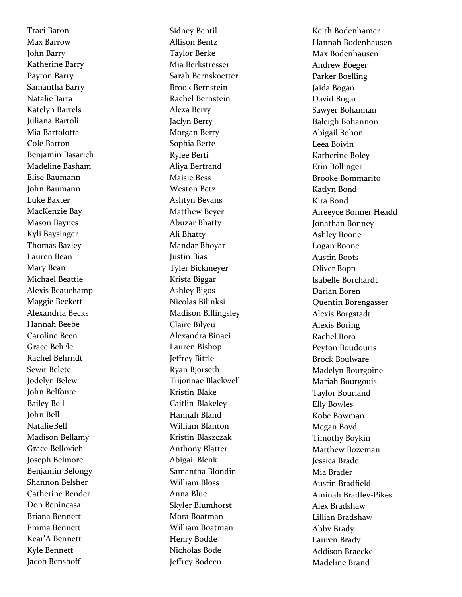Traci Baron Max Barrow John Barry Katherine Barry Payton Barry Samantha Barry Natalie Barta Katelyn Bartels Juliana Bartoli Mia Bartolotta Cole Barton Benjamin Basarich Madeline Basham Elise Baumann John Baumann Luke Baxter MacKenzie Bay Mason Baynes Kyli Baysinger Thomas Bazley Lauren Bean Mary Bean Michael Beattie Alexis Beauchamp Maggie Beckett Alexandria Becks Hannah Beebe Caroline Been Grace Behrle Rachel Behrndt Sewit Belete Jodelyn Belew John Belfonte Bailey Bell John Bell Natalie Bell Madison Bellamy Grace Bellovich Joseph Belmore Benjamin Belongy Shannon Belsher Catherine Bender Don Benincasa Briana Bennett Emma Bennett Kear'A Bennett Kyle Bennett Jacob Benshoff

Sidney Bentil Allison Bentz Taylor Berke Mia Berkstresser Sarah Bernskoetter Brook Bernstein Rachel Bernstein Alexa Berry Jaclyn Berry Morgan Berry Sophia Berte Rylee Berti Aliya Bertrand Maisie Bess Weston Betz Ashtyn Bevans Matthew Beyer Abuzar Bhatty Ali Bhatty Mandar Bhoyar Justin Bias Tyler Bickmeyer Krista Biggar Ashley Bigos Nicolas Bilinksi Madison Billingsley Claire Bilyeu Alexandra Binaei Lauren Bishop Jeffrey Bittle Ryan Bjorseth Tiijonnae Blackwell Kristin Blake Caitlin Blakeley Hannah Bland William Blanton Kristin Blaszczak Anthony Blatter Abigail Blenk Samantha Blondin William Bloss Anna Blue Skyler Blumhorst Mora Boatman William Boatman Henry Bodde Nicholas Bode Jeffrey Bodeen

Keith Bodenhamer Hannah Bodenhausen Max Bodenhausen Andrew Boeger Parker Boelling Jaida Bogan David Bogar Sawyer Bohanna n Baleigh Bohannon Abigail Bohon Leea Boivin Katherine Boley Erin Bollinger Brooke Bommarito Katlyn Bond Kira Bond Aireeyce Bonner Headd Jonathan Bonney Ashley Boone Logan Boone Austin Boots Oliver Bopp Isabelle Borchardt Darian Boren Quentin Borengasser Alexis Borgstadt Alexis Boring Rachel Boro Peyton Boudouris Brock Boulware Madelyn Bourgoine Mariah Bourgouis Taylor Bourland Elly Bowles Kobe Bowman Megan Boyd Timothy Boykin Matthew Bozeman Jessica Brade Mia Brader Austin Bradfield Aminah Bradley-Pikes Alex Bradshaw Lillian Bradshaw Abby Brady Lauren Brady Addison Braeckel Madeline Brand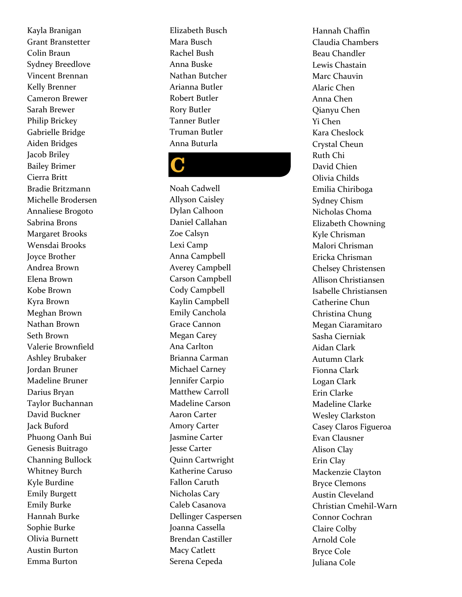Kayla Branigan Grant Branstetter Colin Braun Sydney Breedlove Vincent Brennan Kelly Brenner Cameron Brewer Sarah Brewer Philip Brickey Gabrielle Bridge Aiden Bridges Jacob Briley Bailey Brimer Cierra Britt Bradie Britzmann Michelle Brodersen Annaliese Brogoto Sabrina Brons Margaret Brooks Wensdai Brooks Joyce Brother Andrea Brown Elena Brown Kobe Brown Kyra Brown Meghan Brown Nathan Brown Seth Brown Valerie Brownfield Ashley Brubaker Jordan Bruner Madeline Bruner Darius Bryan Taylor Buchannan David Buckner Jack Buford Phuong Oanh Bui Genesis Buitrago Channing Bullock Whitney Burch Kyle Burdine Emily Burgett Emily Burke Hannah Burke Sophie Burke Olivia Burnett Austin Burton Emma Burton

Elizabeth Busch Mara Busch Rachel Bush Anna Buske Nathan Butcher Arianna Butler Robert Butler Rory Butler Tanner Butler Truman Butler Anna Buturla

## C

Noah Cadwell Allyson Caisley Dylan Calhoon Daniel Callahan Zoe Calsyn Lexi Camp Anna Campbell Averey Campbell Carson Campbell Cody Campbell Kaylin Campbell Emily Canchola Grace Cannon Megan Carey Ana Carlton Brianna Carman Michael Carney Jennifer Carpio Matthew Carroll Madeline Carson Aaron Carter Amory Carter Jasmine Carter Jesse Carter Quinn Cartwright Katherine Caruso Fallon Caruth Nicholas Cary Caleb Casanova Dellinger Caspersen Joanna Cassella Brendan Castiller Macy Catlett Serena Cepeda

Hannah Chaffin Claudia Chambers Beau Chandler Lewis Chastain Marc Chauvin Alaric Chen Anna Chen Qianyu Chen Yi Chen Kara Cheslock Crystal Cheun Ruth Chi David Chien Olivia Childs Emilia Chiriboga Sydney Chism Nicholas Choma Elizabeth Chowning Kyle Chrisman Malori Chrisman Ericka Chrisman Chelsey Christensen Allison Christiansen Isabelle Christiansen Catherine Chun Christina Chung Megan Ciaramitaro Sasha Cierniak Aidan Clark Autumn Clark Fionna Clark Logan Clark Erin Clarke Madeline Clarke Wesley Clarkston Casey Claros Figueroa Evan Clausner Alison Clay Erin Clay Mackenzie Clayton Bryce Clemons Austin Cleveland Christian Cmehil-Warn Connor Cochran Claire Colby Arnold Cole Bryce Cole Juliana Cole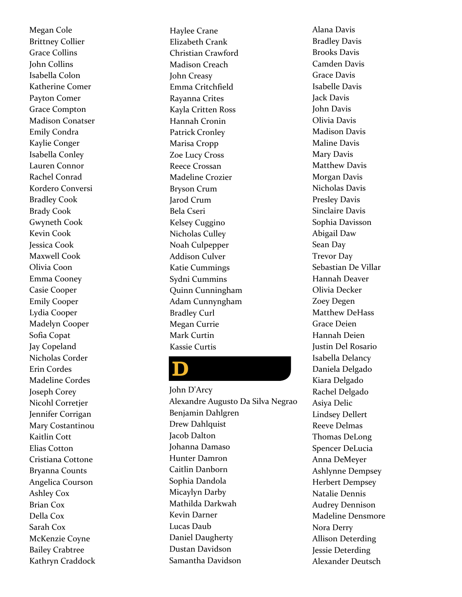Megan Cole Brittney Collier Grace Collins John Collins Isabella Colon Katherine Comer Payton Comer Grace Compton Madison Conatser Emily Condra Kaylie Conger Isabella Conley Lauren Connor Rachel Conrad Kordero Conversi Bradley Cook Brady Cook Gwyneth Cook Kevin Cook Jessica Cook Maxwell Cook Olivia Coon Emma Cooney Casie Cooper Emily Cooper Lydia Cooper Madelyn Cooper Sofia Copat Jay Copeland Nicholas Corder Erin Cordes Madeline Cordes Joseph Corey Nicohl Corretjer Jennifer Corrigan Mary Costantinou Kaitlin Cott Elias Cotton Cristiana Cottone Bryanna Counts Angelica Courson Ashley Cox Brian Cox Della Cox Sarah Cox McKenzie Coyne Bailey Crabtree Kathryn Craddock Haylee Crane Elizabeth Crank Christian Crawford Madison Creach John Creasy Emma Critchfield Rayanna Crites Kayla Critten Ross Hannah Cronin Patrick Cronley Marisa Cropp Zoe Lucy Cross Reece Crossan Madeline Crozier Bryson Crum Jarod Crum Bela Cseri Kelsey Cuggino Nicholas Culley Noah Culpepper Addison Culver Katie Cummings Sydni Cummins Quinn Cunningham Adam Cunnyngham Bradley Curl Megan Currie Mark Curtin Kassie Curtis

## D

John D'Arcy Alexandre Augusto Da Silva Negrao Benjamin Dahlgren Drew Dahlquist Jacob Dalton Johanna Damaso Hunter Damron Caitlin Danborn Sophia Dandola Micaylyn Darby Mathilda Darkwah Kevin Darner Lucas Daub Daniel Daugherty Dustan Davidson Samantha Davidson

Alana Davis Bradley Davis Brooks Davis Camden Davis Grace Davis Isabelle Davis Jack Davis John Davis Olivia Davis Madison Davis Maline Davis Mary Davis Matthew Davis Morgan Davis Nicholas Davis Presley Davis Sinclaire Davis Sophia Davisson Abigail Daw Sean Day Trevor Day Sebastian De Villar Hannah Deaver Olivia Decker Zoey Degen Matthew DeHass Grace Deien Hannah Deien Justin Del Rosario Isabella Delancy Daniela Delgado Kiara Delgado Rachel Delgado Asiya Delic Lindsey Dellert Reeve Delmas Thomas DeLong Spencer DeLucia Anna DeMeyer Ashlynne Dempsey Herbert Dempsey Natalie Dennis Audrey Dennison Madeline Densmore Nora Derry Allison Deterding Jessie Deterding Alexander Deutsch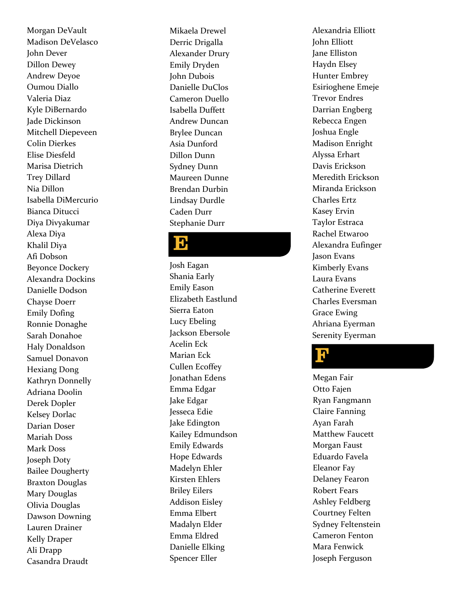Morgan DeVault Madison DeVelasco John Dever Dillon Dewey Andrew Deyoe Oumou Diallo Valeria Diaz Kyle DiBernardo Jade Dickinson Mitchell Diepeveen Colin Dierkes Elise Diesfeld Marisa Dietrich Trey Dillard Nia Dillon Isabella DiMercurio Bianca Ditucci Diya Divyakumar Alexa Diya Khalil Diya Afi Dobson Beyonce Dockery Alexandra Dockins Danielle Dodson Chayse Doerr Emily Dofing Ronnie Donaghe Sarah Donahoe Haly Donaldson Samuel Donavon Hexiang Dong Kathryn Donnelly Adriana Doolin Derek Dopler Kelsey Dorlac Darian Doser Mariah Doss Mark Doss Joseph Doty Bailee Dougherty Braxton Douglas Mary Douglas Olivia Douglas Dawson Downing Lauren Drainer Kelly Draper Ali Drapp Casandra Draudt

Mikaela Drewel Derric Drigalla Alexander Drury Emily Dryden John Dubois Danielle DuClos Cameron Duello Isabella Duffett Andrew Duncan Brylee Duncan Asia Dunford Dillon Dunn Sydney Dunn Maureen Dunne Brendan Durbin Lindsay Durdle Caden Durr Stephanie Durr

#### $\mathbf{D}$

Josh Eagan Shania Early Emily Eason Elizabeth Eastlund Sierra Eaton Lucy Ebeling Jackson Ebersole Acelin Eck Marian Eck Cullen Ecoffey Jonathan Edens Emma Edgar Jake Edgar Jesseca Edie Jake Edington Kailey Edmundson Emily Edwards Hope Edwards Madelyn Ehler Kirsten Ehlers Briley Eilers Addison Eisley Emma Elbert Madalyn Elder Emma Eldred Danielle Elking Spencer Eller

Alexandria Elliott John Elliott Jane Elliston Haydn Elsey Hunter Embrey Esirioghene Emeje Trevor Endres Darrian Engberg Rebecca Engen Joshua Engle Madison Enright Alyssa Erhart Davis Erickson Meredith Erickson Miranda Erickson Charles Ertz Kasey Ervin Taylor Estraca Rachel Etwaroo Alexandra Eufinger Jason Evans Kimberly Evans Laura Evans Catherine Everett Charles Eversman Grace Ewing Ahriana Eyerman Serenity Eyerman

## l<mark>l</mark>

Megan Fair Otto Fajen Ryan Fangmann Claire Fanning Ayan Farah Matthew Faucett Morgan Faust Eduardo Favela Eleanor Fay Delaney Fearon Robert Fears Ashley Feldberg Courtney Felten Sydney Feltenstein Cameron Fenton Mara Fenwick Joseph Ferguson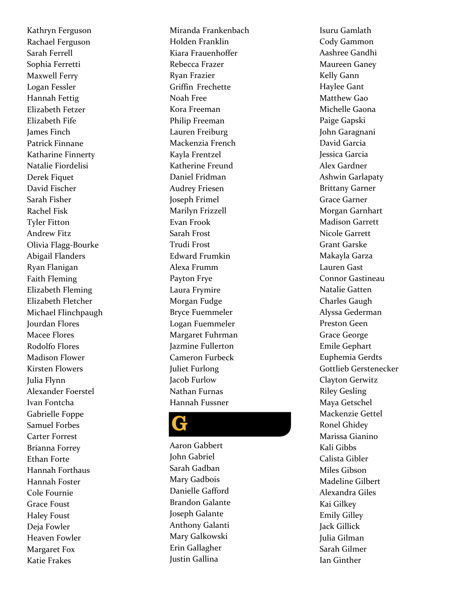Kathryn Ferguson Rachael Ferguson Sarah Ferrell Sophia Ferretti Maxwell Ferry Logan Fessler Hannah Fettig Elizabeth Fetzer Elizabeth Fife James Finch Patrick Finnane Katharine Finnerty Natalie Fiordelisi Derek Fiquet David Fischer Sarah Fisher Rachel Fisk Tyler Fitton Andrew Fitz Olivia Flagg-Bourke Abigail Flanders Ryan Flanigan Faith Fleming Elizabeth Fleming Elizabeth Fletcher Michael Flinchpaugh Jourdan Flores Macee Flores Rodolfo Flores Madison Flower Kirsten Flowers Julia Flynn Alexander Foerstel Ivan Fontcha Gabrielle Foppe Samuel Forbes Carter Forrest Brianna Forrey Ethan Forte Hannah Forthaus Hannah Foster Cole Fournie Grace Foust Haley Foust Deja Fowler Heaven Fowler Margaret Fox Katie Frakes

Miranda Frankenbach Holden Franklin Kiara Frauenhoffer Rebecca Frazer Ryan Frazier Griffin Frechette Noah Free Kora Freeman Philip Freeman Lauren Freiburg Mackenzia French Kayla Frentzel Katherine Freund Daniel Fridman Audrey Friesen Joseph Frimel Marilyn Frizzell Evan Frook Sarah Frost Trudi Frost Edward Frumkin Alexa Frumm Payton Frye Laura Frymire Morgan Fudge Bryce Fuemmeler Logan Fuemmeler Margaret Fuhrman Jazmine Fullerton Cameron Furbeck Juliet Furlong Jacob Furlow Nathan Furnas Hannah Fussner

#### G

Aaron Gabbert John Gabriel Sarah Gadban Mary Gadbois Danielle Gafford Brandon Galante Joseph Galante Anthony Galanti Mary Galkowski Erin Gallagher Justin Gallina

Isuru Gamlath Cody Gammon Aashree Gandhi Maureen Ganey Kelly Gann Haylee Gant Matthew Gao Michelle Gaona Paige Gapski John Garagnani David Garcia Jessica Garcia Alex Gardner Ashwin Garlapaty Brittany Garner Grace Garner Morgan Garnhart Madison Garrett Nicole Garrett Grant Garske Makayla Garza Lauren Gast Connor Gastineau Natalie Gatten Charles Gaugh Alyssa Gederman Preston Geen Grace George Emile Gephart Euphemia Gerdts Gottlieb Gerstenecker Clayton Gerwitz Riley Gesling Maya Getschel Mackenzie Gettel Ronel Ghidey Marissa Gianino Kali Gibbs Calista Gibler Miles Gibson Madeline Gilbert Alexandra Giles Kai Gilkey Emily Gilley Jack Gillick Julia Gilman Sarah Gilmer Ian Ginther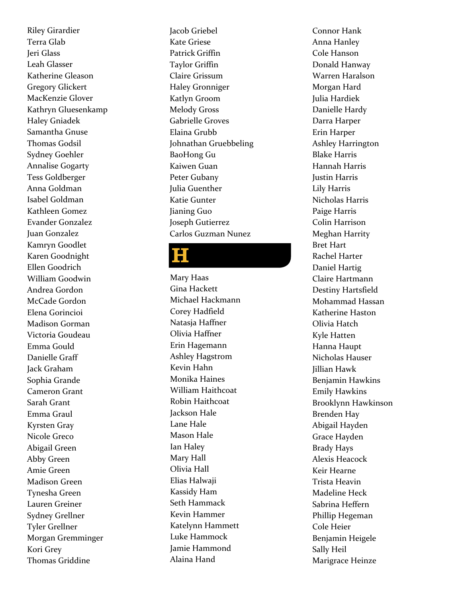Riley Girardier Terra Glab Jeri Glass Leah Glasser Katherine Gleason Gregory Glickert MacKenzie Glover Kathryn Gluesenkamp Haley Gniadek Samantha Gnuse Thomas Godsil Sydney Goehler Annalise Gogarty Tess Goldberger Anna Goldman Isabel Goldman Kathleen Gomez Evander Gonzalez Juan Gonzalez Kamryn Goodlet Karen Goodnight Ellen Goodrich William Goodwin Andrea Gordon McCade Gordon Elena Gorincioi Madison Gorman Victoria Goudeau Emma Gould Danielle Graff Jack Graham Sophia Grande Cameron Grant Sarah Grant Emma Graul Kyrsten Gray Nicole Greco Abigail Green Abby Green Amie Green Madison Green Tynesha Green Lauren Greiner Sydney Grellner Tyler Grellner Morgan Gremminger Kori Grey Thomas Griddine

Jacob Griebel Kate Griese Patrick Griffin Taylor Griffin Claire Grissum Haley Gronniger Katlyn Groom Melody Gross Gabrielle Groves Elaina Grubb Johnathan Gruebbeling BaoHong Gu Kaiwen Guan Peter Gubany Julia Guenther Katie Gunter Jianing Guo Joseph Gutierrez Carlos Guzman Nunez

## H

Mary Haas Gina Hackett Michael Hackmann Corey Hadfield Natasja Haffner Olivia Haffner Erin Hagemann Ashley Hagstrom Kevin Hahn Monika Haines William Haithcoat Robin Haithcoat Jackson Hale Lane Hale Mason Hale Ian Haley Mary Hall Olivia Hall Elias Halwaji Kassidy Ham Seth Hammack Kevin Hammer Katelynn Hammett Luke Hammock Jamie Hammond Alaina Hand

Connor Hank Anna Hanley Cole Hanson Donald Hanway Warren Haralson Morgan Hard Julia Hardiek Danielle Hardy Darra Harper Erin Harper Ashley Harrington Blake Harris Hannah Harris Justin Harris Lily Harris Nicholas Harris Paige Harris Colin Harrison Meghan Harrity Bret Hart Rachel Harter Daniel Hartig Claire Hartmann Destiny Hartsfield Mohammad Hassan Katherine Haston Olivia Hatch Kyle Hatten Hanna Haupt Nicholas Hauser Jillian Hawk Benjamin Hawkins Emily Hawkins Brooklynn Hawkinson Brenden Hay Abigail Hayden Grace Hayden Brady Hays Alexis Heacock Keir Hearne Trista Heavin Madeline Heck Sabrina Heffern Phillip Hegeman Cole Heier Benjamin Heigele Sally Heil Marigrace Heinze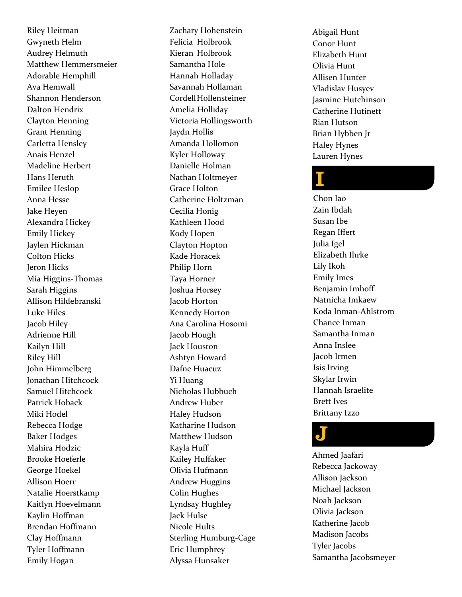Riley Heitman Gwyneth Helm Audrey Helmuth Matthew Hemmersmeier Adorable Hemphill Ava Hemwall Shannon Henderson Dalton Hendrix Clayton Henning Grant Henning Carletta Hensley Anais Henzel Madeline Herbert Hans Heruth Emilee Heslop Anna Hesse Jake Heyen Alexandra Hickey Emily Hickey Jaylen Hickman Colton Hicks Jeron Hicks Mia Higgins-Thomas Sarah Higgins Allison Hildebranski Luke Hiles Jacob Hiley Adrienne Hill Kailyn Hill Riley Hill John Himmelberg Jonathan Hitchcock Samuel Hitchcock Patrick Hoback Miki Hodel Rebecca Hodge Baker Hodges Mahira Hodzic Brooke Hoeferle George Hoekel Allison Hoerr Natalie Hoerstkamp Kaitlyn Hoevelmann Kaylin Hoffman Brendan Hoffmann Clay Hoffmann Tyler Hoffmann Emily Hogan

Zachary Hohenstein Felicia Holbrook Kieran Holbrook Samantha Hole Hannah Holladay Savannah Hollaman Cordell Hollensteiner Amelia Holliday Victoria Hollingsworth Jaydn Hollis Amanda Hollomon Kyler Holloway Danielle Holman Nathan Holtmeyer Grace Holton Catherine Holtzman Cecilia Honig Kathleen Hood Kody Hopen Clayton Hopton Kade Horacek Philip Horn Taya Horner Joshua Horsey Jacob Horton Kennedy Horton Ana Carolina Hosomi Jacob Hough Jack Houston Ashtyn Howard Dafne Huacuz Yi Huang Nicholas Hubbuch Andrew Huber Haley Hudson Katharine Hudson Matthew Hudson Kayla Huff Kailey Huffaker Olivia Hufmann Andrew Huggins Colin Hughes Lyndsay Hughley Jack Hulse Nicole Hults Sterling Humburg-Cage Eric Humphrey Alyssa Hunsaker

Abigail Hunt Conor Hunt Elizabeth Hunt Olivia Hunt Allisen Hunter Vladislav Husyev Jasmine Hutchinson Catherine Hutinett Rian Hutson Brian Hybben Jr Haley Hynes Lauren Hynes

## I

Chon Iao Zain Ibdah Susan Ibe Regan Iffert Julia Igel Elizabeth Ihrke Lily Ikoh Emily Imes Benjamin Imhoff Natnicha Imkaew Koda Inman-Ahlstrom Chance Inman Samantha Inman Anna Inslee Jacob Irmen Isis Irving Skylar Irwin Hannah Israelite Brett Ives Brittany Izzo

#### J

Ahmed Jaafari Rebecca Jackoway Allison Jackson Michael Jackson Noah Jackson Olivia Jackson Katherine Jacob Madison Jacobs Tyler Jacobs Samantha Jacobsmeyer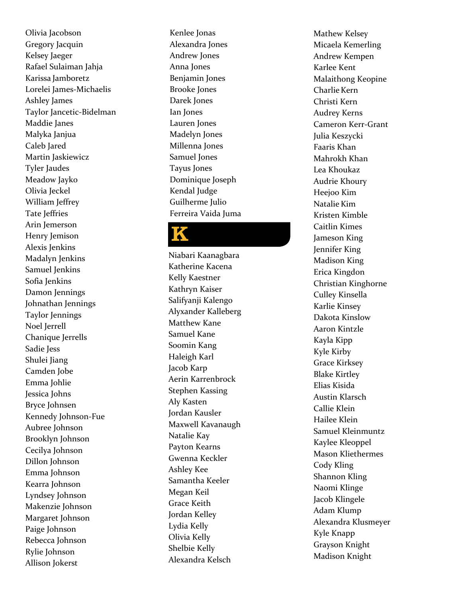Olivia Jacobson Gregory Jacquin Kelsey Jaeger Rafael Sulaiman Jahja Karissa Jamboretz Lorelei James-Michaelis Ashley James Taylor Jancetic-Bidelman Maddie Janes Malyka Janjua Caleb Jared Martin Jaskiewicz Tyler Jaudes Meadow Jayko Olivia Jeckel William Jeffrey Tate Jeffries Arin Jemerson Henry Jemison Alexis Jenkins Madalyn Jenkins Samuel Jenkins Sofia Jenkins Damon Jennings Johnathan Jennings Taylor Jennings Noel Jerrell Chanique Jerrells Sadie Jess Shulei Jiang Camden Jobe Emma Johlie Jessica Johns Bryce Johnsen Kennedy Johnson-Fue Aubree Johnson Brooklyn Johnson Cecilya Johnson Dillon Johnson Emma Johnson Kearra Johnson Lyndsey Johnson Makenzie Johnson Margaret Johnson Paige Johnson Rebecca Johnson Rylie Johnson Allison Jokerst

Kenlee Jonas Alexandra Jones Andrew Jones Anna Jones Benjamin Jones Brooke Jones Darek Jones Ian Jones Lauren Jones Madelyn Jones Millenna Jones Samuel Jones Tayus Jones Dominique Joseph Kendal Judge Guilherme Julio Ferreira Vaida Juma

## K

Niabari Kaanagbara Katherine Kacena Kelly Kaestner Kathryn Kaiser Salifyanji Kalengo Alyxander Kalleberg Matthew Kane Samuel Kane Soomin Kang Haleigh Karl Jacob Karp Aerin Karrenbrock Stephen Kassing Aly Kasten Jordan Kausler Maxwell Kavanaugh Natalie Kay Payton Kearns Gwenna Keckler Ashley Kee Samantha Keeler Megan Keil Grace Keith Jordan Kelley Lydia Kelly Olivia Kelly Shelbie Kelly Alexandra Kelsch

Mathew Kelsey Micaela Kemerling Andrew Kempen Karlee Kent Malaithong Keopine Charlie Kern Christi Kern Audrey Kerns Cameron Kerr-Grant Julia Keszycki Faaris Khan Mahrokh Khan Lea Khoukaz Audrie Khoury Heejoo Kim Natalie Kim Kristen Kimble Caitlin Kimes Jameson King Jennifer King Madison King Erica Kingdon Christian Kinghorne Culley Kinsella Karlie Kinsey Dakota Kinslow Aaron Kintzle Kayla Kipp Kyle Kirby Grace Kirksey Blake Kirtley Elias Kisida Austin Klarsch Callie Klein Hailee Klein Samuel Kleinmuntz Kaylee Kleoppel Mason Kliethermes Cody Kling Shannon Kling Naomi Klinge Jacob Klingele Adam Klump Alexandra Klusmeyer Kyle Knapp Grayson Knight Madison Knight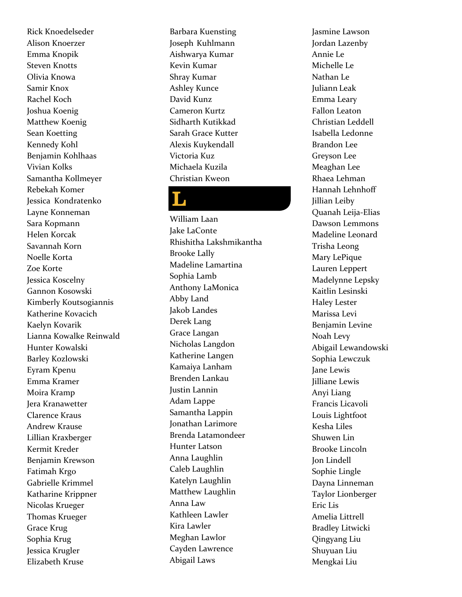Rick Knoedelseder Alison Knoerzer Emma Knopik Steven Knotts Olivia Knowa Samir Knox Rachel Koch Joshua Koenig Matthew Koenig Sean Koetting Kennedy Kohl Benjamin Kohlhaas Vivian Kolks Samantha Kollmeyer Rebekah Komer Jessica Kondratenko Layne Konneman Sara Kopmann Helen Korcak Savannah Korn Noelle Korta Zoe Korte Jessica Koscelny Gannon Kosowski Kimberly Koutsogiannis Katherine Kovacich Kaelyn Kovarik Lianna Kowalke Reinwald Hunter Kowalski Barley Kozlowski Eyram Kpenu Emma Kramer Moira Kramp Jera Kranawetter Clarence Kraus Andrew Krause Lillian Kraxberger Kermit Kreder Benjamin Krewson Fatimah Krgo Gabrielle Krimmel Katharine Krippner Nicolas Krueger Thomas Krueger Grace Krug Sophia Krug Jessica Krugler Elizabeth Kruse

Barbara Kuensting Joseph Kuhlmann Aishwarya Kumar Kevin Kumar Shray Kumar Ashley Kunce David Kunz Cameron Kurtz Sidharth Kutikkad Sarah Grace Kutter Alexis Kuykendall Victoria Kuz Michaela Kuzila Christian Kweon

## L

William Laan Jake LaConte Rhishitha Lakshmikantha Brooke Lally Madeline Lamartina Sophia Lamb Anthony LaMonica Abby Land Jakob Landes Derek Lang Grace Langan Nicholas Langdon Katherine Langen Kamaiya Lanham Brenden Lankau Justin Lannin Adam Lappe Samantha Lappin Jonathan Larimore Brenda Latamondeer Hunter Latson Anna Laughlin Caleb Laughlin Katelyn Laughlin Matthew Laughlin Anna Law Kathleen Lawler Kira Lawler Meghan Lawlor Cayden Lawrence Abigail Laws

Jasmine Lawson Jordan Lazenby Annie Le Michelle Le Nathan Le Juliann Leak Emma Leary Fallon Leaton Christian Leddell Isabella Ledonne Brandon Lee Greyson Lee Meaghan Lee Rhaea Lehman Hannah Lehnhoff Jillian Leiby Quanah Leija-Elias Dawson Lemmons Madeline Leonard Trisha Leong Mary LePique Lauren Leppert Madelynne Lepsky Kaitlin Lesinski Haley Lester Marissa Levi Benjamin Levine Noah Levy Abigail Lewandowski Sophia Lewczuk Jane Lewis Jilliane Lewis Anyi Liang Francis Licavoli Louis Lightfoot Kesha Liles Shuwen Lin Brooke Lincoln Jon Lindell Sophie Lingle Dayna Linneman Taylor Lionberger Eric Lis Amelia Littrell Bradley Litwicki Qingyang Liu Shuyuan Liu Mengkai Liu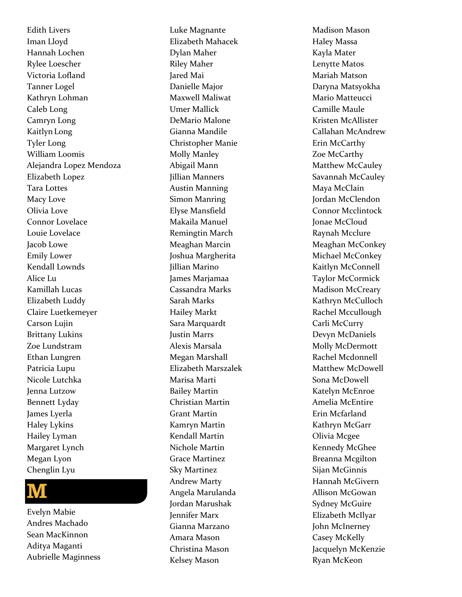Edit h Livers Iman Lloyd Hannah Lochen Rylee Loescher Victoria Lofland Tanner Logel Kathryn Lohman Caleb Long Camryn Long Kaitlyn Long Tyler Long William Loomis Alejandra Lopez Mendoza Elizabeth Lopez Tara Lottes Macy Love Olivia Love Connor Lovelace Louie Lovelace Jacob Lowe Emily Lower Kendall Lownds Alice Lu Kamillah Lucas Elizabeth Luddy Claire Luetkemeyer Carson Lujin Brittany Lukins Zoe Lundstram Ethan Lungren Patricia Lupu Nicole Lutchka Jenna Lutzow Bennett Lyday James Lyerla Haley Lykins Hailey Lyman Margaret Lynch Megan Lyon Chenglin Lyu



Evelyn Mabie Andres Machado Sean MacKinnon Aditya Maganti Aubrielle Maginness

Luke Magnante Elizabeth Mahacek Dylan Maher Riley Maher Jared Mai Danielle Major Maxwell Maliwat Umer Mallick DeMario Malone Gianna Mandile Christopher Manie Molly Manley Abigail Mann Jillian Manners Austin Manning Simon Manring Elyse Mansfield Makaila Manuel Remingtin March Meaghan Marcin Joshua Margherita Jillian Marino James Marjamaa Cassandra Marks Sarah Marks Hailey Markt Sara Marquardt Justin Marrs Alexis Marsala Megan Marshall Elizabeth Marszalek Marisa Marti Bailey Martin Christian Martin Grant Martin Kamryn Martin Kendall Martin Nichole Martin Grace Martinez Sky Martinez Andrew Marty Angela Marulanda Jordan Marushak Jennifer Marx Gianna Marzano Amara Mason Christina Mason Kelsey Mason

Madison Mason Haley Massa Kayla Mater Lenytte Matos Mariah Matson Daryna Matsyokha Mario Matteucci Camille Maule Kristen McAllister Callahan McAndrew Erin McCarthy Zoe McCarthy Matthew McCauley Savannah McCauley Maya McClain Jordan McClendon Connor Mcclintock Jonae McCloud Raynah Mcclure Meaghan McConkey Michael McConkey Kaitlyn McConnell Taylor McCormick Madison McCreary Kathryn McCulloch Rachel Mccullough Carli McCurry Devyn McDaniels Molly McDermott Rachel Mcdonnell Matthew McDowell Sona McDowell Katelyn McEnroe Amelia McEntire Erin Mcfarland Kathryn McGarr Olivia Mcgee Kennedy McGhee Breanna Mcgilton Sijan McGinnis Hannah McGivern Allison McGowan Sydney McGuire Elizabeth McIlyar John McInerney Casey McKelly Jacquelyn McKenzie Ryan McKeon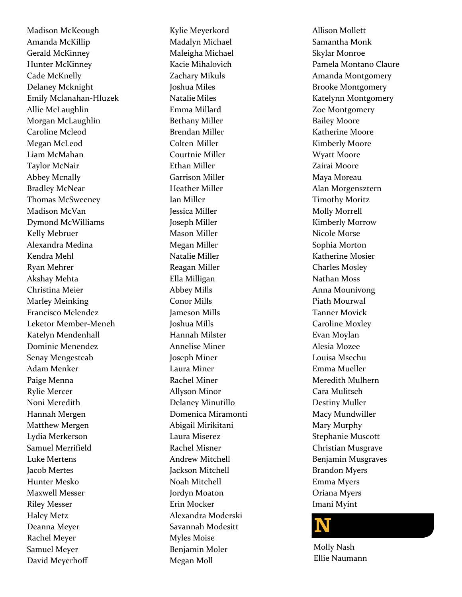Madison McKeough Amanda McKillip Gerald McKinney Hunter McKinney Cade McKnelly Delaney Mcknight Emily Mclanahan-Hluzek Allie McLaughlin Morgan McLaughlin Caroline Mcleod Megan McLeod Liam McMahan Taylor McNair Abbey Mcnally Bradley McNear Thomas McSweeney Madison McVan Dymond McWilliams Kelly Mebruer Alexandra Medina Kendra Mehl Ryan Mehrer Akshay Mehta Christina Meier Marley Meinking Francisco Melendez Leketor Member-Meneh Katelyn Mendenhall Dominic Menendez Senay Mengesteab Adam Menker Paige Menna Rylie Mercer Noni Meredith Hannah Mergen Matthew Mergen Lydia Merkerson Samuel Merrifield Luke Mertens Jacob Mertes Hunter Mesko Maxwell Messer Riley Messer Haley Metz Deanna Meyer Rachel Meyer Samuel Meyer David Meyerhoff

Kylie Meyerkord Madalyn Michael Maleigha Michael Kacie Mihalovich Zachary Mikuls Joshua Miles Natalie Miles Emma Millard Bethany Miller Brendan Miller Colten Miller Courtnie Miller Ethan Miller Garrison Miller Heather Miller Ian Miller Jessica Miller Joseph Miller Mason Miller Megan Miller Natalie Miller Reagan Miller Ella Milligan Abbey Mills Conor Mills Jameson Mills Joshua Mills Hannah Milster Annelise Miner Joseph Miner Laura Miner Rachel Miner Allyson Minor Delaney Minutillo Domenica Miramonti Abigail Mirikitani Laura Miserez Rachel Misner Andrew Mitchell Jackson Mitchell Noah Mitchell Jordyn Moaton Erin Mocker Alexandra Moderski Savannah Modesitt Myles Moise Benjamin Moler Megan Moll

Allison Mollett Samantha Monk Skylar Monroe Pamela Montano Claure Amanda Montgomery Brooke Montgomery Katelynn Montgomery Zoe Montgomery Bailey Moore Katherine Moore Kimberly Moore Wyatt Moore Zairai Moore Maya Moreau Alan Morgensztern Timothy Moritz Molly Morrell Kimberly Morrow Nicole Morse Sophia Morton Katherine Mosier Charles Mosley Nathan Moss Anna Mounivong Piath Mourwal Tanner Movick Caroline Moxley Evan Moylan Alesia Mozee Louisa Msechu Emma Mueller Meredith Mulhern Cara Mulitsch Destiny Muller Macy Mundwiller Mary Murphy Stephanie Muscott Christian Musgrave Benjamin Musgraves Brandon Myers Emma Myers Oriana Myers Imani Myint



Molly Nash Ellie Naumann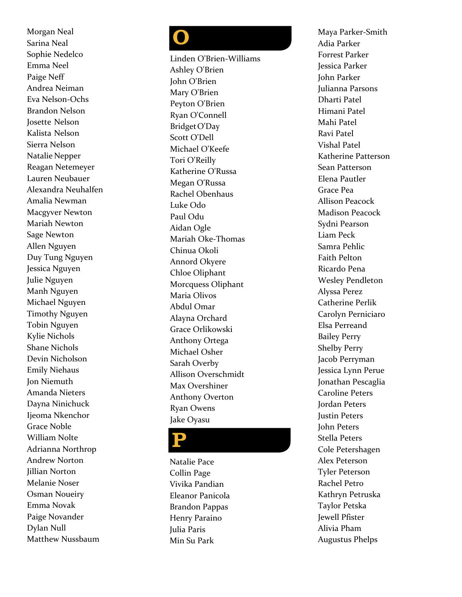Morgan Neal Sarina Neal Sophie Nedelco Emma Neel Paige Neff Andrea Neiman Eva Nelson-Ochs Brandon Nelson Josette Nelson Kalista Nelson Sierra Nelson Natalie Nepper Reagan Netemeyer Lauren Neubauer Alexandra Neuhalfen Amalia Newman Macgyver Newton Mariah Newton Sage Newton Allen Nguyen Duy Tung Nguyen Jessica Nguyen Julie Nguyen Manh Nguyen Michael Nguyen Timothy Nguyen Tobin Nguyen Kylie Nichols Shane Nichols Devin Nicholson Emily Niehaus Jon Niemuth Amanda Nieters Dayna Ninichuck Ijeoma Nkenchor Grace Noble William Nolte Adrianna Northrop Andrew Norton Jillian Norton Melanie Noser Osman Noueiry Emma Novak Paige Novander Dylan Null Matthew Nussbaum

**OPPROX**<br>Cinde Ashle<br>Ohn (Mary Peyto Ryan<br>Bridge Scott Michaela Rache Paul (Cathe Paul Cathe Paul Charia<br>Aldar Maria Chinu Anno Chloe<br>Morc Maria Abdu<br>Aldayn<br>Sarah Alliso<br>Sarah Alliso<br>Anthe Micha<br>Sarah Alliso<br>Max (Anthe Sar Linden O'Brien-Williams Ashley O'Brien John O'Brien Mary O'Brien Peyton O' Brien Ryan O'Connell Bridget O'Day Scott O'Dell Michael O'Keefe Tori O'Reilly Katherine O'Russa Megan O'Russa Rachel Obenhaus Luke Odo Paul Odu Aidan Ogle Mariah Oke-Thomas Chinua Okoli Annord Okyere Chloe Oliphant Morcquess Oliphant Maria Olivos Abdul Omar Alayna Orchard Grace Orlikowski Anthony Ortega Michael Osher Sarah Overby Allison Overschmidt Max Overshiner Anthony Overton Ryan Owens Jake Oyasu

#### P

Natalie Pace Collin Page Vivika Pandian Eleanor Panicola Brandon Pappas Henry Paraino Julia Paris Min Su Park

Maya Parker-Smith Adia Parker Forrest Parker Jessica Parker John Parker Julianna Parsons Dharti Patel Himani Patel Mahi Patel Ravi Patel Vishal Patel Katherine Patterson Sean Patterson Elena Pautler Grace Pea Allison Peacock Madison Peacock Sydni Pearson Liam Peck Samra Pehlic Faith Pelton Ricardo Pena Wesley Pendleton Alyssa Perez Catherine Perlik Carolyn Perniciaro Elsa Perreand Bailey Perry Shelby Perry Jacob Perryman Jessica Lynn Perue Jonathan Pescaglia Caroline Peters Jordan Peters Justin Peters John Peters Stella Peters Cole Petershagen Alex Peterson Tyler Peterson Rachel Petro Kathryn Petruska Taylor Petska Jewell Pfister Alivia Pham Augustus Phelps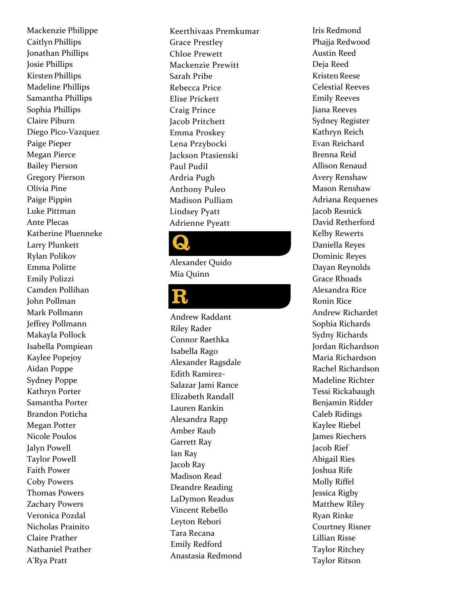Mackenzie Philippe Caitlyn Phillips Jonathan Phillips Josie Phillips Kirsten Phillips Madeline Phillips Samantha Phillips Sophia Phillips Claire Piburn Diego Pico-Vazquez Paige Pieper Megan Pierce Bailey Pierson Gregory Pierson Olivia Pine Paige Pippin Luke Pittman Ante Plecas Katherine Pluenneke Larry Plunkett Rylan Polikov Emma Politte Emily Polizzi Camden Pollihan John Pollman Mark Pollmann Jeffrey Pollmann Makayla Pollock Isabella Pompiean Kaylee Popejoy Aidan Poppe Sydney Poppe Kathryn Porter Samantha Porter Brandon Poticha Megan Potter Nicole Poulos Jalyn Powell Taylor Powell Faith Power Coby Powers Thomas Powers Zachary Powers Veronica Pozdal Nicholas Prainito Claire Prather Nathaniel Prather A'Rya Pratt

Keerthivaas Premkumar Grace Prestley Chloe Prewett Mackenzie Prewitt Sarah Pribe Rebecca Price Elise Prickett Craig Prince Jacob Pritchett Emma Proskey Lena Przybocki Jackson Ptasienski Paul Pudil Ardria Pugh Anthony Puleo Madison Pulliam Lindsey Pyatt Adrienne Pyeatt

Alexander Quido Mia Quinn

#### R

Andrew Raddant Riley Rader Connor Raethka Isabella Rago Alexander Ragsdale Edith Ramirez-Salazar Jami Rance Elizabeth Randall Lauren Rankin Alexandra Rapp Amber Raub Garrett Ray Ian Ray Jacob Ray Madison Read Deandre Reading LaDymon Readus Vincent Rebello Leyton Rebori Tara Recana Emily Redford **Alexander Quido<br>Mia Quinn<br>Andrew Raddant<br>Riley Rader<br>Connor Raethka<br>Isabella Rago<br>Alexander Ragsdale<br>Edith Ramirez-Salazar Jami Rance<br>Elizabeth Randall<br>Lauren Rankin<br>Alexandra Rapp<br>Amber Raub<br>Garrett Ray<br>Jacob Ray<br>Madison** 

Iris Redmond Phaiia Redwood Austin Reed Deja Reed Kristen Reese Celestial Reeves Emily Reeves Jiana Reeves Sydney Register Kathryn Reich Evan Reichard Brenna Reid Allison Renaud Avery Renshaw Mason Renshaw Adriana Requenes Jacob Resnick David Retherford Kelby Rewerts Daniella Reyes Dominic Reyes Dayan Reynolds Grace Rhoads Alexandra Rice Ronin Rice Andrew Richardet Sophia Richards Sydny Richards Jordan Richardson Maria Richardson Rachel Richardson Madeline Richter Tessi Rickabaugh Benjamin Ridder Caleb Ridings Kaylee Riebel James Riechers Jacob Rief Abigail Ries Joshua Rife Molly Riffel Jessica Rigby Matthew Riley Ryan Rinke Courtney Risner Lillian Risse Taylor Ritchey Taylor Ritson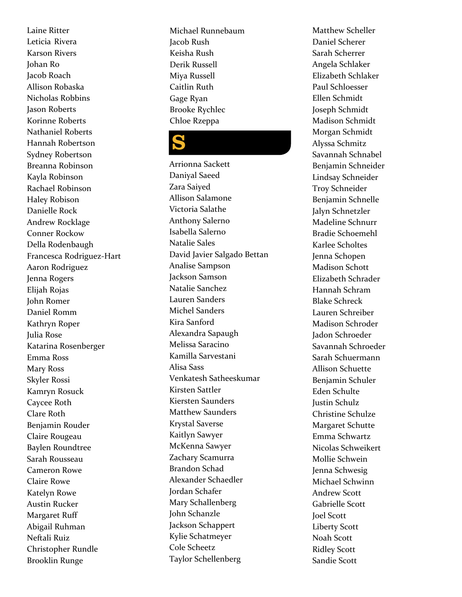Laine Ritter Leticia Rivera Karson Rivers Johan Ro Jacob Roach Allison Robaska Nichola s Robbins Jason Roberts Korinne Roberts Nathaniel Roberts Hannah Robertson Sydney Robertson Breanna Robinson Kayla Robinson Rachael Robinson Haley Robison Danielle Rock Andrew Rocklage Conner Rockow Della Rodenbaugh Francesca Rodriguez-Hart Aaron Rodriguez Jenna Rogers Elijah Rojas John Romer Daniel Romm Kathryn Roper Julia Rose Katarina Rosenberger Emma Ross Mary Ross Skyler Rossi Kamryn Rosuck Caycee Roth Clare Roth Benjamin Rouder Claire Rougeau Baylen Roundtree Sarah Rousseau Cameron Rowe Claire Rowe Katelyn Rowe Austin Rucker Margaret Ruff Abigail Ruhman Neftali Ruiz Christopher Rundle Brooklin Runge

Michael Runnebaum Jacob Rush Keisha Rush Derik Russell Miya Russell Caitlin Ruth Gage Ryan Brooke Rychlec Chloe Rzeppa

## S

Arrionna Sackett Daniyal Saeed Zara Saiyed Allison Salamone Victoria Salathe Anthony Salerno Isabella Salerno Natalie Sales David Javier Salgado Bettan Analise Sampson Jackson Samson Natalie Sanchez Lauren Sanders Michel Sanders Kira Sanford Alexandra Sapaugh Melissa Saracino Kamilla Sarvestani Alisa Sass Venkatesh Satheeskumar Kirsten Sattler Kiersten Saunders Matthew Saunders Krystal Saverse Kaitlyn Sawyer McKenna Sawyer Zachary Scamurra Brandon Schad Alexander Schaedler Jordan Schafer Mary Schallenberg John Schanzle Jackson Schappert Kylie Schatmeyer Cole Scheetz Taylor Schellenberg

Matthew Scheller Daniel Scherer Sarah Scherrer Angela Schlaker Elizabeth Schlaker Paul Schloesser Ellen Schmidt Joseph Schmidt Madison Schmidt Morgan Schmidt Alyssa Schmitz Savannah Schnabel Benjamin Schneider Lindsay Schneider Troy Schneider Benjamin Schnelle Jalyn Schnetzler Madeline Schnurr Bradie Schoemehl Karlee Scholtes Jenna Schopen Madison Schott Elizabeth Schrader Hannah Schram Blake Schreck Lauren Schreiber Madison Schroder Jadon Schroeder Savannah Schroeder Sarah Schuermann Allison Schuette Benjamin Schuler Eden Schulte Justin Schulz Christine Schulze Margaret Schutte Emma Schwartz Nicolas Schweikert Mollie Schwein Jenna Schwesig Michael Schwinn Andrew Scott Gabrielle Scott Joel Scott Liberty Scott Noah Scott Ridley Scott Sandie Scott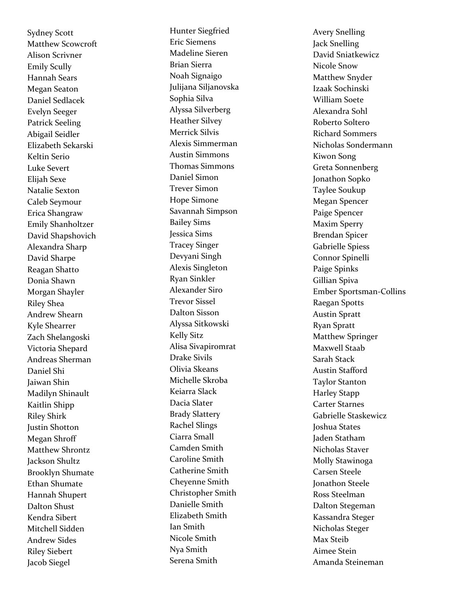Sydney Scott Matthew Scowcroft Alison Scrivner Emily Scully Hannah Sears Megan Seaton Daniel Sedlacek Evelyn Seeger Patrick Seeling Abigail Seidler Elizabeth Sekarski Keltin Serio Luke Severt Elijah Sexe Natalie Sexton Caleb Seymour Erica Shangraw Emily Shanholtzer David Shapshovich Alexandra Sharp David Sharpe Reagan Shatto Donia Shawn Morgan Shayler Riley Shea Andrew Shearn Kyle Shearrer Zach Shelangoski Victoria Shepard Andreas Sherman Daniel Shi Jaiwan Shin Madilyn Shinault Kaitlin Shipp Riley Shirk Justin Shotton Megan Shroff Matthew Shrontz Jackson Shultz Brooklyn Shumate Ethan Shumate Hannah Shupert Dalton Shust Kendra Sibert Mitchell Sidden Andrew Sides Riley Siebert Jacob Siegel

Hunter Siegfried Eric Siemens Madeline Sieren Brian Sierra Noah Signaigo Julijana Siljanovska Sophia Silva Alyssa Silverberg Heather Silvey Merrick Silvis Alexis Simmerman Austin Simmons Thomas Simmons Daniel Simon Trever Simon Hope Simone Savannah Simpson Bailey Sims Jessica Sims Tracey Singer Devyani Singh Alexis Singleton Ryan Sinkler Alexander Siro Trevor Sissel Dalton Sisson Alyssa Sitkowski Kelly Sitz Alisa Sivapiromrat Drake Sivils Olivia Skeans Michelle Skroba Keiarra Slack Dacia Slater Brady Slattery Rachel Slings Ciarra Small Camden Smith Caroline Smith Catherine Smith Cheyenne Smith Christopher Smith Danielle Smith Elizabeth Smith Ian Smith Nicole Smith Nya Smith Serena Smith

Avery Snelling Jack Snelling David Sniatkewicz Nicole Snow Matthew Snyder Izaak Sochinski William Soete Alexandra Sohl Roberto Soltero Richard Sommers Nicholas Sondermann Kiwon Song Greta Sonnenberg Jonathon Sopko Taylee Soukup Megan Spencer Paige Spencer Maxim Sperry Brendan Spicer Gabrielle Spiess Connor Spinelli Paige Spinks Gillian Spiva Ember Sportsman-Collins Raegan Spotts Austin Spratt Ryan Spratt Matthew Springer Maxwell Staab Sarah Stack Austin Stafford Taylor Stanton Harley Stapp Carter Starnes Gabrielle Staskewicz Joshua States Jaden Statham Nicholas Staver Molly Stawinoga Carsen Steele Jonathon Steele Ross Steelman Dalton Stegeman Kassandra Steger Nicholas Steger Max Steib Aimee Stein Amanda Steineman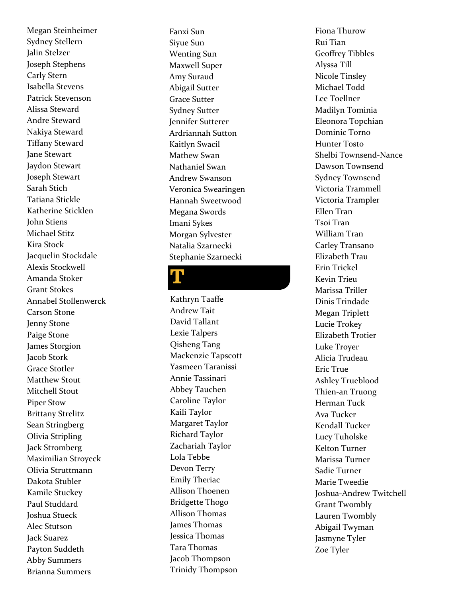Megan Steinheimer Sydney Stellern Jalin Stelzer Joseph Stephens Carly Stern Isabella Stevens Patrick Stevenson Alissa Steward Andre Steward Nakiya Steward Tiffany Steward Jane Stewart Jaydon Stewart Joseph Stewart Sarah Stich Tatiana Stickle Katherine Sticklen John Stiens Michael Stitz Kira Stock Jacquelin Stockdale Alexis Stockwell Amanda Stoker Grant Stokes Annabel Stollenwerck Carson Stone Jenny Stone Paige Stone James Storgion Jacob Stork Grace Stotler Matthew Stout Mitchell Stout Piper Stow Brittany Strelitz Sean Stringberg Olivia Stripling Jack Stromberg Maximilian Stroyeck Olivia Struttmann Dakota Stubler Kamile Stuckey Paul Studdard Joshua Stueck Alec Stutson Jack Suarez Payton Suddeth Abby Summers Brianna Summers

Fanxi Sun Siyue Sun Wenting Sun Maxwell Super Amy Suraud Abigail Sutter Grace Sutter Sydney Sutter Jennifer Sutterer Ardriannah Sutton Kaitlyn Swacil Mathew Swan Nathaniel Swan Andrew Swanson Veronica Swearingen Hannah Sweetwood Megana Swords Imani Sykes Morgan Sylvester Natalia Szarnecki Stephanie Szarnecki

## T

Kathryn Taaffe Andrew Tait David Tallant Lexie Talpers Qisheng Tang Mackenzie Tapscott Yasmeen Taranissi Annie Tassinari Abbey Tauchen Caroline Taylor Kaili Taylor Margaret Taylor Richard Taylor Zachariah Taylor Lola Tebbe Devon Terry Emily Theriac Allison Thoenen Bridgette Thogo Allison Thomas James Thomas Jessica Thomas Tara Thomas Jacob Thompson Trinidy Thompson

Fiona Thurow Rui Tian Geoffrey Tibbles Alyssa Till Nicole Tinsley Michael Todd Lee Toellner Madilyn Tominia Eleonora Topchian Dominic Torno Hunter Tosto Shelbi Townsend-Nance Dawson Townsend Sydney Townsend Victoria Trammell Victoria Trampler Ellen Tran Tsoi Tran William Tran Carley Transano Elizabeth Trau Erin Trickel Kevin Trieu Marissa Triller Dinis Trindade Megan Triplett Lucie Trokey Elizabeth Trotier Luke Troyer Alicia Trudeau Eric True Ashley Trueblood Thien-an Truong Herman Tuck Ava Tucker Kendall Tucker Lucy Tuholske Kelton Turner Marissa Turner Sadie Turner Marie Tweedie Joshua-Andrew Twitchell Grant Twombly Lauren Twombly Abigail Twyman Jasmyne Tyler Zoe Tyler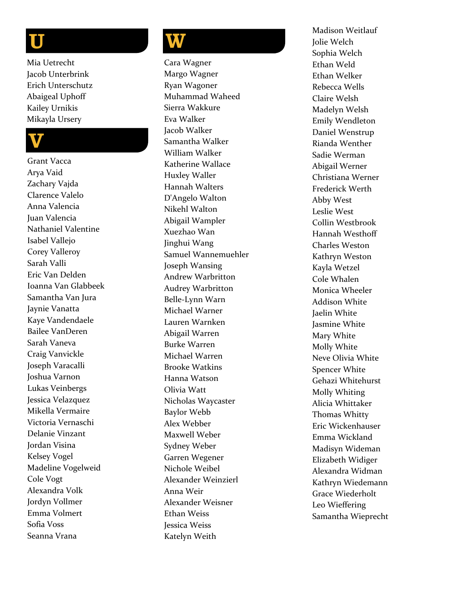**UV**<br>Mia U<br>acob<br>Erich<br>Abaig<br>Kaile<br>Mika Mia Uetrecht Jacob Unterbrink Erich Unterschutz Abaigeal Uphoff Kailey Urnikis Mikayla Ursery

Grant Vacca Arya Vaid Zachary Vajda Clarence Valelo Anna Valencia Juan Valencia Nathaniel Valentine Isabel Vallejo Corey Valleroy Sarah Valli Eric Van Delden Ioanna Van Glabbeek Samantha Van Jura Jaynie Vanatta Kaye Vandendaele Bailee VanDeren Sarah Vaneva Craig Vanvickle Joseph Varacalli Joshua Varnon Lukas Veinbergs Jessica Velazquez Mikella Vermaire Victoria Vernaschi Delanie Vinzant Jordan Visina Kelsey Vogel Madeline Vogelweid Cole Vogt Alexandra Volk Jordyn Voll mer Emma Volmert Sofia Voss Seanna Vrana

## **W**

Cara Wagner Margo Wagner Ryan Wagoner Muhammad Waheed Sierra Wakkure Eva Walker Jacob Walker Samantha Walker William Walker Katherine Wallace Huxley Waller Hannah Walters D'Angelo Walton Nikehl Walton Abigail Wampler Xuezhao Wan Jinghui Wang Samuel Wannemuehler Joseph Wansing Andrew Warbritton Audrey Warbritton Belle-Lynn Warn Michael Warner Lauren Warnken Abigail Warren Burke Warren Michael Warren Brooke Watkins Hanna Watson Olivia Watt Nicholas Waycaster Baylor Webb Alex Webber Maxwell Weber Sydney Weber Garren Wegener Nichole Weibel Alexander Weinzierl Anna Weir Alexander Weisner Ethan Weiss Jessica Weiss Katelyn Weith

Madison Weitlauf Jolie Welch Sophia Welch Ethan Weld Ethan Welker Rebecca Wells Claire Welsh Madelyn Welsh Emily Wendleton Daniel Wenstrup Rianda Wenther Sadie Werman Abigail Werner Christiana Werner Frederick Werth Abby West Leslie West Collin Westbrook Hannah Westhoff Charles Weston Kathryn Weston Kayla Wetzel Cole Whalen Monica Wheeler Addison White Jaelin White Jasmine White Mary White Molly White Neve Olivia White Spencer White Gehazi Whitehurst Molly Whiting Alicia Whittaker Thomas Whitty Eric Wickenhauser Emma Wickland Madisyn Wideman Elizabeth Widiger Alexandra Widman Kathryn Wiedemann Grace Wiederholt Leo Wieffering Samantha Wieprecht